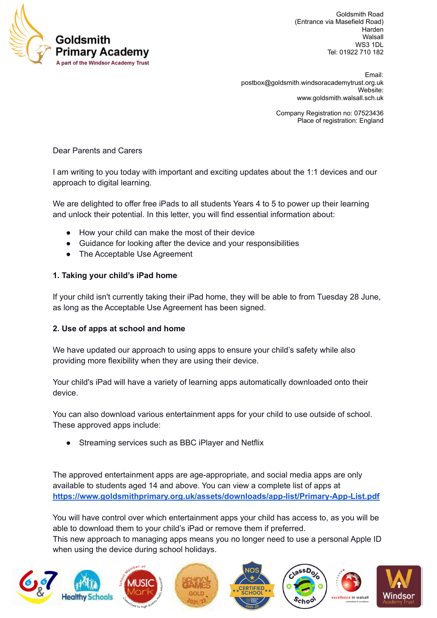

Goldsmith Road (Entrance via Masefield Road) Harden Walsall WS3 1DL Tel: 01922 710 182

Email: [postbox@goldsmith.windsoracademytrust.org.uk](mailto:postbox@goldsmith.windsoracademytrust.org.uk) Website: [www.goldsmith.walsall.sch.uk](http://www.goldsmith.walsall.sch.uk)

> Company Registration no: 07523436 Place of registration: England

Dear Parents and Carers

I am writing to you today with important and exciting updates about the 1:1 devices and our approach to digital learning.

We are delighted to offer free iPads to all students Years 4 to 5 to power up their learning and unlock their potential. In this letter, you will find essential information about:

- How your child can make the most of their device
- Guidance for looking after the device and your responsibilities
- The Acceptable Use Agreement

#### **1. Taking your child's iPad home**

If your child isn't currently taking their iPad home, they will be able to from Tuesday 28 June, as long as the Acceptable Use Agreement has been signed.

#### **2. Use of apps at school and home**

We have updated our approach to using apps to ensure your child's safety while also providing more flexibility when they are using their device.

Your child's iPad will have a variety of learning apps automatically downloaded onto their device.

You can also download various entertainment apps for your child to use outside of school. These approved apps include:

Streaming services such as BBC iPlayer and Netflix

The approved entertainment apps are age-appropriate, and social media apps are only available to students aged 14 and above. You can view a complete list of apps at **<https://www.goldsmithprimary.org.uk/assets/downloads/app-list/Primary-App-List.pdf>**

You will have control over which entertainment apps your child has access to, as you will be able to download them to your child's iPad or remove them if preferred.

This new approach to managing apps means you no longer need to use a personal Apple ID when using the device during school holidays.